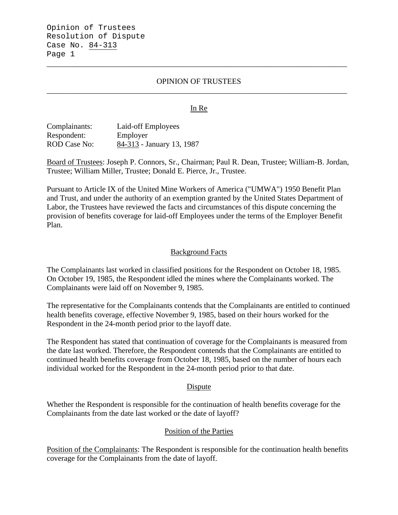## OPINION OF TRUSTEES \_\_\_\_\_\_\_\_\_\_\_\_\_\_\_\_\_\_\_\_\_\_\_\_\_\_\_\_\_\_\_\_\_\_\_\_\_\_\_\_\_\_\_\_\_\_\_\_\_\_\_\_\_\_\_\_\_\_\_\_\_\_\_\_\_\_\_\_\_\_\_\_\_\_\_\_\_

\_\_\_\_\_\_\_\_\_\_\_\_\_\_\_\_\_\_\_\_\_\_\_\_\_\_\_\_\_\_\_\_\_\_\_\_\_\_\_\_\_\_\_\_\_\_\_\_\_\_\_\_\_\_\_\_\_\_\_\_\_\_\_\_\_\_\_\_\_\_\_\_\_\_\_\_\_

### In Re

Complainants: Laid-off Employees Respondent: Employer<br>ROD Case No: 84-313 - J 84-313 - January 13, 1987

Board of Trustees: Joseph P. Connors, Sr., Chairman; Paul R. Dean, Trustee; William-B. Jordan, Trustee; William Miller, Trustee; Donald E. Pierce, Jr., Trustee.

Pursuant to Article IX of the United Mine Workers of America ("UMWA") 1950 Benefit Plan and Trust, and under the authority of an exemption granted by the United States Department of Labor, the Trustees have reviewed the facts and circumstances of this dispute concerning the provision of benefits coverage for laid-off Employees under the terms of the Employer Benefit Plan.

### Background Facts

The Complainants last worked in classified positions for the Respondent on October 18, 1985. On October 19, 1985, the Respondent idled the mines where the Complainants worked. The Complainants were laid off on November 9, 1985.

The representative for the Complainants contends that the Complainants are entitled to continued health benefits coverage, effective November 9, 1985, based on their hours worked for the Respondent in the 24-month period prior to the layoff date.

The Respondent has stated that continuation of coverage for the Complainants is measured from the date last worked. Therefore, the Respondent contends that the Complainants are entitled to continued health benefits coverage from October 18, 1985, based on the number of hours each individual worked for the Respondent in the 24-month period prior to that date.

#### **Dispute**

Whether the Respondent is responsible for the continuation of health benefits coverage for the Complainants from the date last worked or the date of layoff?

### Position of the Parties

Position of the Complainants: The Respondent is responsible for the continuation health benefits coverage for the Complainants from the date of layoff.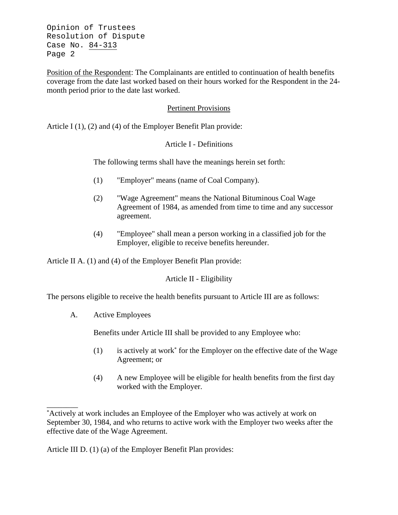Opinion of Trustees Resolution of Dispute Case No. 84-313 Page 2

Position of the Respondent: The Complainants are entitled to continuation of health benefits coverage from the date last worked based on their hours worked for the Respondent in the 24 month period prior to the date last worked.

## Pertinent Provisions

Article I (1), (2) and (4) of the Employer Benefit Plan provide:

## Article I - Definitions

The following terms shall have the meanings herein set forth:

- (1) "Employer" means (name of Coal Company).
- (2) "Wage Agreement" means the National Bituminous Coal Wage Agreement of 1984, as amended from time to time and any successor agreement.
- (4) "Employee" shall mean a person working in a classified job for the Employer, eligible to receive benefits hereunder.

Article II A. (1) and (4) of the Employer Benefit Plan provide:

# Article II - Eligibility

The persons eligible to receive the health benefits pursuant to Article III are as follows:

A. Active Employees

\_\_\_\_\_\_\_\_

Benefits under Article III shall be provided to any Employee who:

- (1) is actively at work\* for the Employer on the effective date of the Wage Agreement; or
- (4) A new Employee will be eligible for health benefits from the first day worked with the Employer.

Article III D. (1) (a) of the Employer Benefit Plan provides:

<sup>\*</sup> Actively at work includes an Employee of the Employer who was actively at work on September 30, 1984, and who returns to active work with the Employer two weeks after the effective date of the Wage Agreement.